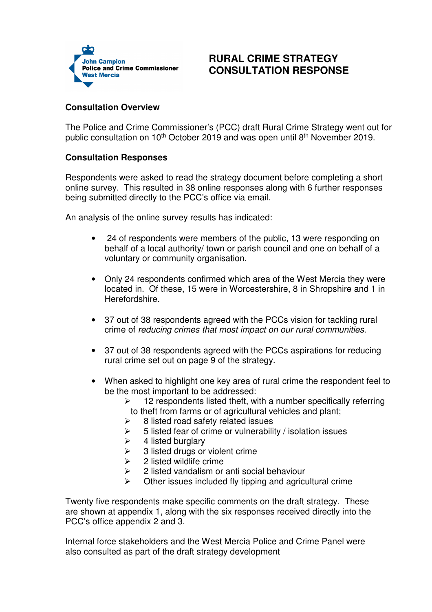

## **RURAL CRIME STRATEGY CONSULTATION RESPONSE**

## **Consultation Overview**

The Police and Crime Commissioner's (PCC) draft Rural Crime Strategy went out for public consultation on 10<sup>th</sup> October 2019 and was open until 8<sup>th</sup> November 2019.

## **Consultation Responses**

Respondents were asked to read the strategy document before completing a short online survey. This resulted in 38 online responses along with 6 further responses being submitted directly to the PCC's office via email.

An analysis of the online survey results has indicated:

- 24 of respondents were members of the public, 13 were responding on behalf of a local authority/ town or parish council and one on behalf of a voluntary or community organisation.
- Only 24 respondents confirmed which area of the West Mercia they were located in. Of these, 15 were in Worcestershire, 8 in Shropshire and 1 in Herefordshire.
- 37 out of 38 respondents agreed with the PCCs vision for tackling rural crime of reducing crimes that most impact on our rural communities.
- 37 out of 38 respondents agreed with the PCCs aspirations for reducing rural crime set out on page 9 of the strategy.
- When asked to highlight one key area of rural crime the respondent feel to be the most important to be addressed:
	- $\geq$  12 respondents listed theft, with a number specifically referring to theft from farms or of agricultural vehicles and plant;
	- $\geq$  8 listed road safety related issues
	- $\geq$  5 listed fear of crime or vulnerability / isolation issues
	- $\geq$  4 listed burglary
	- $\geq$  3 listed drugs or violent crime
	- $\geq$  2 listed wildlife crime
	- $\geq$  2 listed vandalism or anti-social behaviour
	- Other issues included fly tipping and agricultural crime

Twenty five respondents make specific comments on the draft strategy. These are shown at appendix 1, along with the six responses received directly into the PCC's office appendix 2 and 3.

Internal force stakeholders and the West Mercia Police and Crime Panel were also consulted as part of the draft strategy development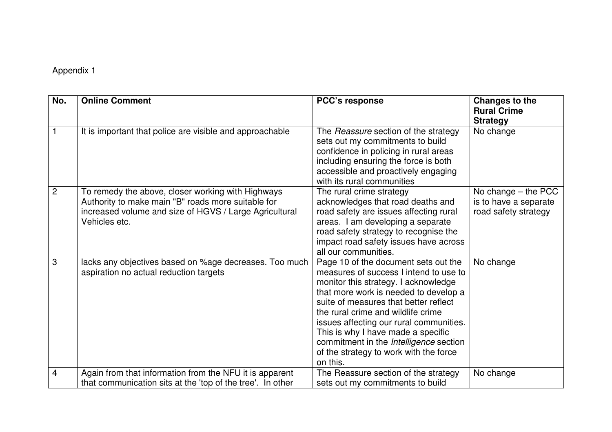## Appendix 1

| No.            | <b>Online Comment</b>                                                                                                                                                              | <b>PCC's response</b>                                                                                                                                                                                                                                                                                                                                                                                                           | <b>Changes to the</b><br><b>Rural Crime</b><br><b>Strategy</b>         |
|----------------|------------------------------------------------------------------------------------------------------------------------------------------------------------------------------------|---------------------------------------------------------------------------------------------------------------------------------------------------------------------------------------------------------------------------------------------------------------------------------------------------------------------------------------------------------------------------------------------------------------------------------|------------------------------------------------------------------------|
|                | It is important that police are visible and approachable                                                                                                                           | The Reassure section of the strategy<br>sets out my commitments to build<br>confidence in policing in rural areas<br>including ensuring the force is both<br>accessible and proactively engaging<br>with its rural communities                                                                                                                                                                                                  | No change                                                              |
| $\overline{2}$ | To remedy the above, closer working with Highways<br>Authority to make main "B" roads more suitable for<br>increased volume and size of HGVS / Large Agricultural<br>Vehicles etc. | The rural crime strategy<br>acknowledges that road deaths and<br>road safety are issues affecting rural<br>areas. I am developing a separate<br>road safety strategy to recognise the<br>impact road safety issues have across<br>all our communities.                                                                                                                                                                          | No change $-$ the PCC<br>is to have a separate<br>road safety strategy |
| 3              | lacks any objectives based on %age decreases. Too much<br>aspiration no actual reduction targets                                                                                   | Page 10 of the document sets out the<br>measures of success I intend to use to<br>monitor this strategy. I acknowledge<br>that more work is needed to develop a<br>suite of measures that better reflect<br>the rural crime and wildlife crime<br>issues affecting our rural communities.<br>This is why I have made a specific<br>commitment in the Intelligence section<br>of the strategy to work with the force<br>on this. | No change                                                              |
| 4              | Again from that information from the NFU it is apparent<br>that communication sits at the 'top of the tree'. In other                                                              | The Reassure section of the strategy<br>sets out my commitments to build                                                                                                                                                                                                                                                                                                                                                        | No change                                                              |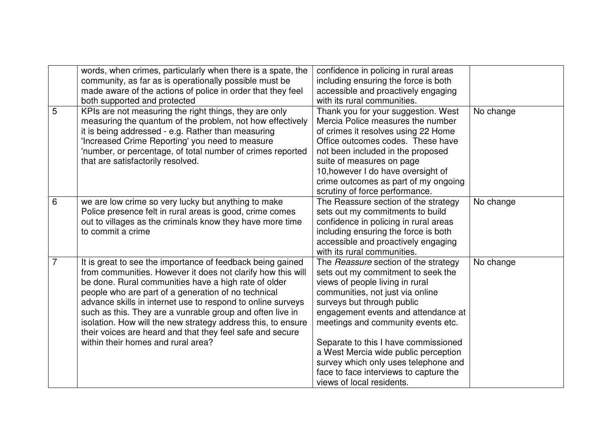|                | words, when crimes, particularly when there is a spate, the  | confidence in policing in rural areas  |           |
|----------------|--------------------------------------------------------------|----------------------------------------|-----------|
|                | community, as far as is operationally possible must be       | including ensuring the force is both   |           |
|                | made aware of the actions of police in order that they feel  | accessible and proactively engaging    |           |
|                | both supported and protected                                 | with its rural communities.            |           |
| 5              | KPIs are not measuring the right things, they are only       | Thank you for your suggestion. West    | No change |
|                | measuring the quantum of the problem, not how effectively    | Mercia Police measures the number      |           |
|                | it is being addressed - e.g. Rather than measuring           | of crimes it resolves using 22 Home    |           |
|                | 'Increased Crime Reporting' you need to measure              | Office outcomes codes. These have      |           |
|                | 'number, or percentage, of total number of crimes reported   | not been included in the proposed      |           |
|                | that are satisfactorily resolved.                            | suite of measures on page              |           |
|                |                                                              | 10, however I do have oversight of     |           |
|                |                                                              | crime outcomes as part of my ongoing   |           |
|                |                                                              | scrutiny of force performance.         |           |
| 6              | we are low crime so very lucky but anything to make          | The Reassure section of the strategy   | No change |
|                | Police presence felt in rural areas is good, crime comes     | sets out my commitments to build       |           |
|                | out to villages as the criminals know they have more time    | confidence in policing in rural areas  |           |
|                | to commit a crime                                            | including ensuring the force is both   |           |
|                |                                                              | accessible and proactively engaging    |           |
|                |                                                              | with its rural communities.            |           |
| $\overline{7}$ | It is great to see the importance of feedback being gained   | The Reassure section of the strategy   | No change |
|                | from communities. However it does not clarify how this will  | sets out my commitment to seek the     |           |
|                | be done. Rural communities have a high rate of older         | views of people living in rural        |           |
|                | people who are part of a generation of no technical          | communities, not just via online       |           |
|                | advance skills in internet use to respond to online surveys  | surveys but through public             |           |
|                | such as this. They are a vunrable group and often live in    | engagement events and attendance at    |           |
|                | isolation. How will the new strategy address this, to ensure | meetings and community events etc.     |           |
|                | their voices are heard and that they feel safe and secure    |                                        |           |
|                | within their homes and rural area?                           | Separate to this I have commissioned   |           |
|                |                                                              | a West Mercia wide public perception   |           |
|                |                                                              | survey which only uses telephone and   |           |
|                |                                                              | face to face interviews to capture the |           |
|                |                                                              | views of local residents.              |           |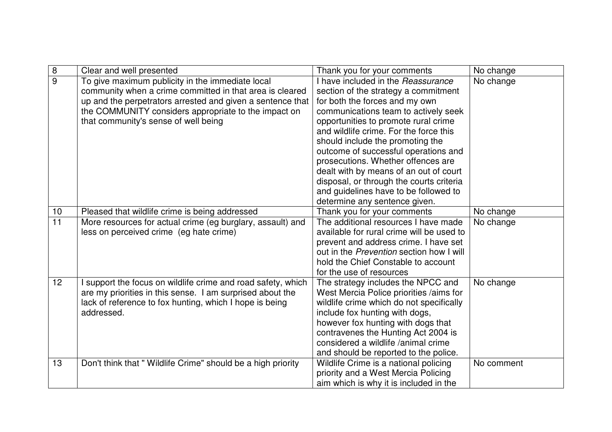| $\, 8$ | Clear and well presented                                    | Thank you for your comments                     | No change  |
|--------|-------------------------------------------------------------|-------------------------------------------------|------------|
| 9      | To give maximum publicity in the immediate local            | I have included in the Reassurance              | No change  |
|        | community when a crime committed in that area is cleared    | section of the strategy a commitment            |            |
|        | up and the perpetrators arrested and given a sentence that  | for both the forces and my own                  |            |
|        | the COMMUNITY considers appropriate to the impact on        | communications team to actively seek            |            |
|        | that community's sense of well being                        | opportunities to promote rural crime            |            |
|        |                                                             | and wildlife crime. For the force this          |            |
|        |                                                             | should include the promoting the                |            |
|        |                                                             | outcome of successful operations and            |            |
|        |                                                             | prosecutions. Whether offences are              |            |
|        |                                                             | dealt with by means of an out of court          |            |
|        |                                                             | disposal, or through the courts criteria        |            |
|        |                                                             | and guidelines have to be followed to           |            |
|        |                                                             | determine any sentence given.                   |            |
| 10     | Pleased that wildlife crime is being addressed              | Thank you for your comments                     | No change  |
| 11     | More resources for actual crime (eg burglary, assault) and  | The additional resources I have made            | No change  |
|        | less on perceived crime (eg hate crime)                     | available for rural crime will be used to       |            |
|        |                                                             | prevent and address crime. I have set           |            |
|        |                                                             | out in the <i>Prevention</i> section how I will |            |
|        |                                                             | hold the Chief Constable to account             |            |
|        |                                                             | for the use of resources                        |            |
| 12     | support the focus on wildlife crime and road safety, which  | The strategy includes the NPCC and              | No change  |
|        | are my priorities in this sense. I am surprised about the   | West Mercia Police priorities /aims for         |            |
|        | lack of reference to fox hunting, which I hope is being     | wildlife crime which do not specifically        |            |
|        | addressed.                                                  | include fox hunting with dogs,                  |            |
|        |                                                             | however fox hunting with dogs that              |            |
|        |                                                             | contravenes the Hunting Act 2004 is             |            |
|        |                                                             | considered a wildlife /animal crime             |            |
|        |                                                             | and should be reported to the police.           |            |
| 13     | Don't think that "Wildlife Crime" should be a high priority | Wildlife Crime is a national policing           | No comment |
|        |                                                             | priority and a West Mercia Policing             |            |
|        |                                                             | aim which is why it is included in the          |            |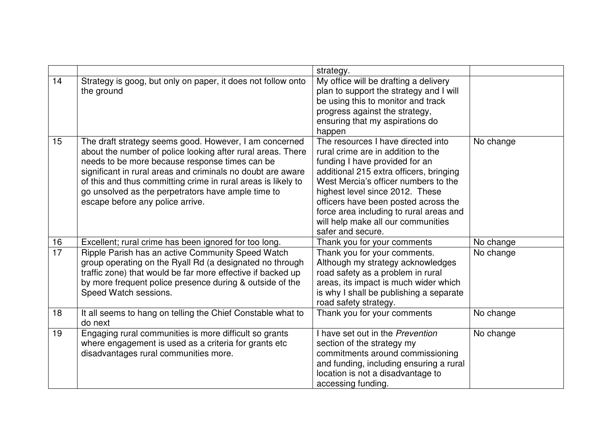|                 |                                                                                                                                                                                                                                                                                                                                                                                                   | strategy.                                                                                                                                                                                                                                                                                                                                                                      |           |
|-----------------|---------------------------------------------------------------------------------------------------------------------------------------------------------------------------------------------------------------------------------------------------------------------------------------------------------------------------------------------------------------------------------------------------|--------------------------------------------------------------------------------------------------------------------------------------------------------------------------------------------------------------------------------------------------------------------------------------------------------------------------------------------------------------------------------|-----------|
| 14              | Strategy is goog, but only on paper, it does not follow onto<br>the ground                                                                                                                                                                                                                                                                                                                        | My office will be drafting a delivery<br>plan to support the strategy and I will<br>be using this to monitor and track<br>progress against the strategy,<br>ensuring that my aspirations do<br>happen                                                                                                                                                                          |           |
| 15              | The draft strategy seems good. However, I am concerned<br>about the number of police looking after rural areas. There<br>needs to be more because response times can be<br>significant in rural areas and criminals no doubt are aware<br>of this and thus committing crime in rural areas is likely to<br>go unsolved as the perpetrators have ample time to<br>escape before any police arrive. | The resources I have directed into<br>rural crime are in addition to the<br>funding I have provided for an<br>additional 215 extra officers, bringing<br>West Mercia's officer numbers to the<br>highest level since 2012. These<br>officers have been posted across the<br>force area including to rural areas and<br>will help make all our communities<br>safer and secure. | No change |
| 16              | Excellent; rural crime has been ignored for too long.                                                                                                                                                                                                                                                                                                                                             | Thank you for your comments                                                                                                                                                                                                                                                                                                                                                    | No change |
| $\overline{17}$ | Ripple Parish has an active Community Speed Watch<br>group operating on the Ryall Rd (a designated no through<br>traffic zone) that would be far more effective if backed up<br>by more frequent police presence during & outside of the<br>Speed Watch sessions.                                                                                                                                 | Thank you for your comments.<br>Although my strategy acknowledges<br>road safety as a problem in rural<br>areas, its impact is much wider which<br>is why I shall be publishing a separate<br>road safety strategy.                                                                                                                                                            | No change |
| 18              | It all seems to hang on telling the Chief Constable what to<br>do next                                                                                                                                                                                                                                                                                                                            | Thank you for your comments                                                                                                                                                                                                                                                                                                                                                    | No change |
| 19              | Engaging rural communities is more difficult so grants<br>where engagement is used as a criteria for grants etc<br>disadvantages rural communities more.                                                                                                                                                                                                                                          | I have set out in the Prevention<br>section of the strategy my<br>commitments around commissioning<br>and funding, including ensuring a rural<br>location is not a disadvantage to<br>accessing funding.                                                                                                                                                                       | No change |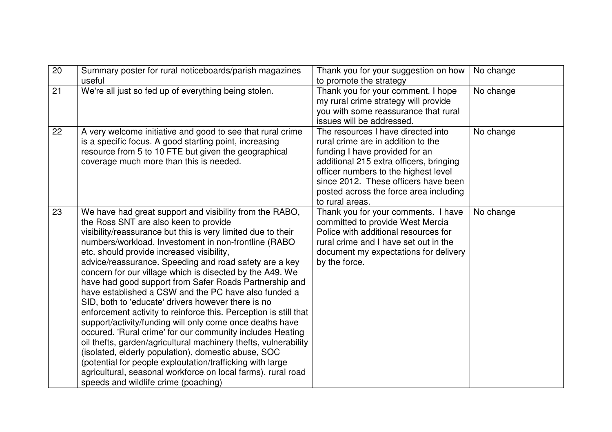| 20 | Summary poster for rural noticeboards/parish magazines<br>useful                                                                                                                                                                                                                                                                                                                                                                                                                                                                                                                                                                                                                                                                                                                                                                                                                                                                                                                                                                                                | Thank you for your suggestion on how<br>to promote the strategy                                                                                                                                                                                                                                    | No change |
|----|-----------------------------------------------------------------------------------------------------------------------------------------------------------------------------------------------------------------------------------------------------------------------------------------------------------------------------------------------------------------------------------------------------------------------------------------------------------------------------------------------------------------------------------------------------------------------------------------------------------------------------------------------------------------------------------------------------------------------------------------------------------------------------------------------------------------------------------------------------------------------------------------------------------------------------------------------------------------------------------------------------------------------------------------------------------------|----------------------------------------------------------------------------------------------------------------------------------------------------------------------------------------------------------------------------------------------------------------------------------------------------|-----------|
| 21 | We're all just so fed up of everything being stolen.                                                                                                                                                                                                                                                                                                                                                                                                                                                                                                                                                                                                                                                                                                                                                                                                                                                                                                                                                                                                            | Thank you for your comment. I hope<br>my rural crime strategy will provide<br>you with some reassurance that rural<br>issues will be addressed.                                                                                                                                                    | No change |
| 22 | A very welcome initiative and good to see that rural crime<br>is a specific focus. A good starting point, increasing<br>resource from 5 to 10 FTE but given the geographical<br>coverage much more than this is needed.                                                                                                                                                                                                                                                                                                                                                                                                                                                                                                                                                                                                                                                                                                                                                                                                                                         | The resources I have directed into<br>rural crime are in addition to the<br>funding I have provided for an<br>additional 215 extra officers, bringing<br>officer numbers to the highest level<br>since 2012. These officers have been<br>posted across the force area including<br>to rural areas. | No change |
| 23 | We have had great support and visibility from the RABO,<br>the Ross SNT are also keen to provide<br>visibility/reassurance but this is very limited due to their<br>numbers/workload. Investoment in non-frontline (RABO<br>etc. should provide increased visibility,<br>advice/reassurance. Speeding and road safety are a key<br>concern for our village which is disected by the A49. We<br>have had good support from Safer Roads Partnership and<br>have established a CSW and the PC have also funded a<br>SID, both to 'educate' drivers however there is no<br>enforcement activity to reinforce this. Perception is still that<br>support/activity/funding will only come once deaths have<br>occured. 'Rural crime' for our community includes Heating<br>oil thefts, garden/agricultural machinery thefts, vulnerability<br>(isolated, elderly population), domestic abuse, SOC<br>(potential for people exploutation/trafficking with large<br>agricultural, seasonal workforce on local farms), rural road<br>speeds and wildlife crime (poaching) | Thank you for your comments. I have<br>committed to provide West Mercia<br>Police with additional resources for<br>rural crime and I have set out in the<br>document my expectations for delivery<br>by the force.                                                                                 | No change |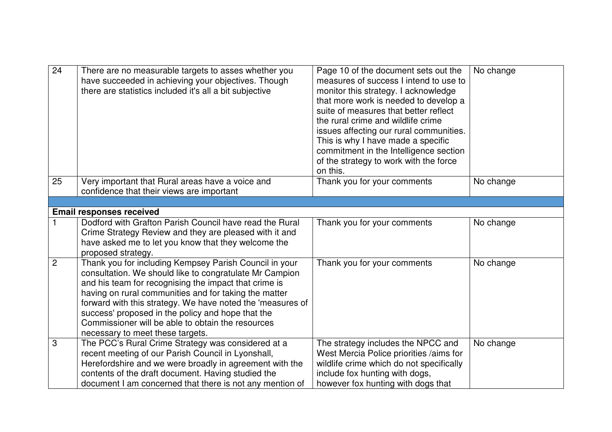| 24             | There are no measurable targets to asses whether you<br>have succeeded in achieving your objectives. Though<br>there are statistics included it's all a bit subjective                                                                                                                                                                                                                                                                          | Page 10 of the document sets out the<br>measures of success I intend to use to<br>monitor this strategy. I acknowledge<br>that more work is needed to develop a<br>suite of measures that better reflect<br>the rural crime and wildlife crime<br>issues affecting our rural communities.<br>This is why I have made a specific<br>commitment in the Intelligence section<br>of the strategy to work with the force<br>on this. | No change |
|----------------|-------------------------------------------------------------------------------------------------------------------------------------------------------------------------------------------------------------------------------------------------------------------------------------------------------------------------------------------------------------------------------------------------------------------------------------------------|---------------------------------------------------------------------------------------------------------------------------------------------------------------------------------------------------------------------------------------------------------------------------------------------------------------------------------------------------------------------------------------------------------------------------------|-----------|
| 25             | Very important that Rural areas have a voice and<br>confidence that their views are important                                                                                                                                                                                                                                                                                                                                                   | Thank you for your comments                                                                                                                                                                                                                                                                                                                                                                                                     | No change |
|                |                                                                                                                                                                                                                                                                                                                                                                                                                                                 |                                                                                                                                                                                                                                                                                                                                                                                                                                 |           |
|                | <b>Email responses received</b>                                                                                                                                                                                                                                                                                                                                                                                                                 |                                                                                                                                                                                                                                                                                                                                                                                                                                 |           |
|                | Dodford with Grafton Parish Council have read the Rural<br>Crime Strategy Review and they are pleased with it and<br>have asked me to let you know that they welcome the<br>proposed strategy.                                                                                                                                                                                                                                                  | Thank you for your comments                                                                                                                                                                                                                                                                                                                                                                                                     | No change |
| $\overline{2}$ | Thank you for including Kempsey Parish Council in your<br>consultation. We should like to congratulate Mr Campion<br>and his team for recognising the impact that crime is<br>having on rural communities and for taking the matter<br>forward with this strategy. We have noted the 'measures of<br>success' proposed in the policy and hope that the<br>Commissioner will be able to obtain the resources<br>necessary to meet these targets. | Thank you for your comments                                                                                                                                                                                                                                                                                                                                                                                                     | No change |
| 3              | The PCC's Rural Crime Strategy was considered at a<br>recent meeting of our Parish Council in Lyonshall,<br>Herefordshire and we were broadly in agreement with the<br>contents of the draft document. Having studied the<br>document I am concerned that there is not any mention of                                                                                                                                                           | The strategy includes the NPCC and<br>West Mercia Police priorities /aims for<br>wildlife crime which do not specifically<br>include fox hunting with dogs,<br>however fox hunting with dogs that                                                                                                                                                                                                                               | No change |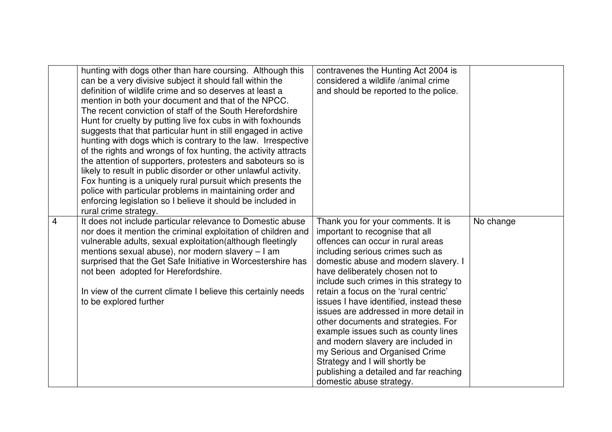|   | hunting with dogs other than hare coursing. Although this<br>can be a very divisive subject it should fall within the<br>definition of wildlife crime and so deserves at least a<br>mention in both your document and that of the NPCC.<br>The recent conviction of staff of the South Herefordshire<br>Hunt for cruelty by putting live fox cubs in with foxhounds<br>suggests that that particular hunt in still engaged in active<br>hunting with dogs which is contrary to the law. Irrespective<br>of the rights and wrongs of fox hunting, the activity attracts<br>the attention of supporters, protesters and saboteurs so is<br>likely to result in public disorder or other unlawful activity.<br>Fox hunting is a uniquely rural pursuit which presents the<br>police with particular problems in maintaining order and<br>enforcing legislation so I believe it should be included in<br>rural crime strategy. | contravenes the Hunting Act 2004 is<br>considered a wildlife /animal crime<br>and should be reported to the police.                                                                                                                                                                                                                                                                                                                                                                                                                                                                                                                                              |           |
|---|----------------------------------------------------------------------------------------------------------------------------------------------------------------------------------------------------------------------------------------------------------------------------------------------------------------------------------------------------------------------------------------------------------------------------------------------------------------------------------------------------------------------------------------------------------------------------------------------------------------------------------------------------------------------------------------------------------------------------------------------------------------------------------------------------------------------------------------------------------------------------------------------------------------------------|------------------------------------------------------------------------------------------------------------------------------------------------------------------------------------------------------------------------------------------------------------------------------------------------------------------------------------------------------------------------------------------------------------------------------------------------------------------------------------------------------------------------------------------------------------------------------------------------------------------------------------------------------------------|-----------|
| 4 | It does not include particular relevance to Domestic abuse<br>nor does it mention the criminal exploitation of children and<br>vulnerable adults, sexual exploitation(although fleetingly<br>mentions sexual abuse), nor modern slavery - I am<br>surprised that the Get Safe Initiative in Worcestershire has<br>not been adopted for Herefordshire.<br>In view of the current climate I believe this certainly needs<br>to be explored further                                                                                                                                                                                                                                                                                                                                                                                                                                                                           | Thank you for your comments. It is<br>important to recognise that all<br>offences can occur in rural areas<br>including serious crimes such as<br>domestic abuse and modern slavery. I<br>have deliberately chosen not to<br>include such crimes in this strategy to<br>retain a focus on the 'rural centric'<br>issues I have identified, instead these<br>issues are addressed in more detail in<br>other documents and strategies. For<br>example issues such as county lines<br>and modern slavery are included in<br>my Serious and Organised Crime<br>Strategy and I will shortly be<br>publishing a detailed and far reaching<br>domestic abuse strategy. | No change |